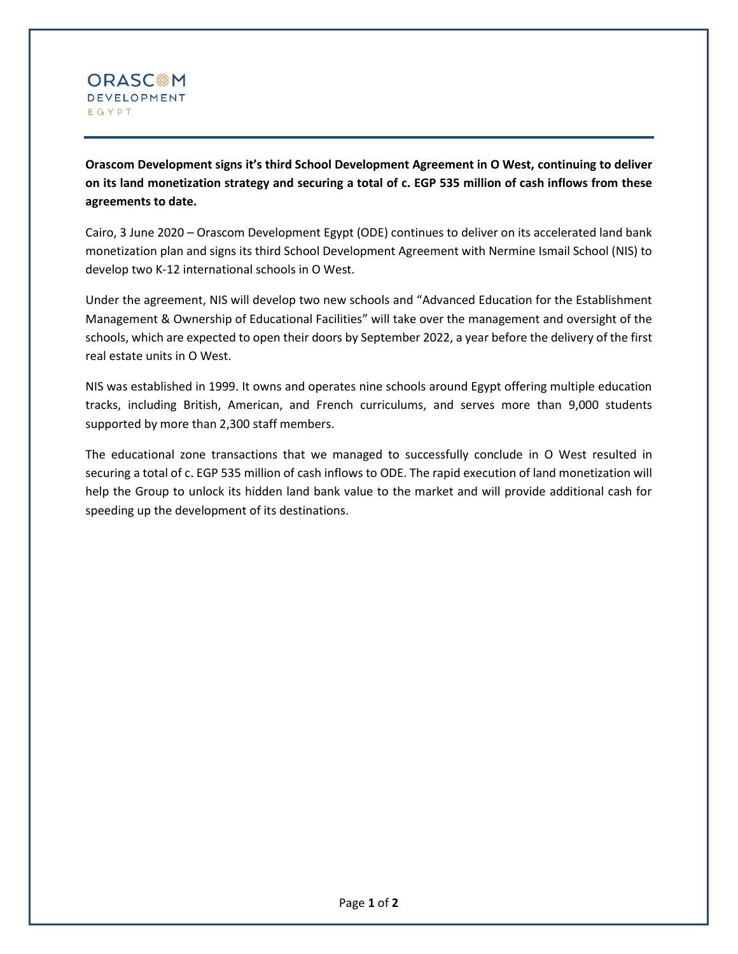

**Orascom Development signs it's third School Development Agreement in O West, continuing to deliver on its land monetization strategy and securing a total of c. EGP 535 million of cash inflows from these agreements to date.**

Cairo, 3 June 2020 – Orascom Development Egypt (ODE) continues to deliver on its accelerated land bank monetization plan and signs its third School Development Agreement with Nermine Ismail School (NIS) to develop two K-12 international schools in O West.

Under the agreement, NIS will develop two new schools and "Advanced Education for the Establishment Management & Ownership of Educational Facilities" will take over the management and oversight of the schools, which are expected to open their doors by September 2022, a year before the delivery of the first real estate units in O West.

NIS was established in 1999. It owns and operates nine schools around Egypt offering multiple education tracks, including British, American, and French curriculums, and serves more than 9,000 students supported by more than 2,300 staff members.

The educational zone transactions that we managed to successfully conclude in O West resulted in securing a total of c. EGP 535 million of cash inflows to ODE. The rapid execution of land monetization will help the Group to unlock its hidden land bank value to the market and will provide additional cash for speeding up the development of its destinations.